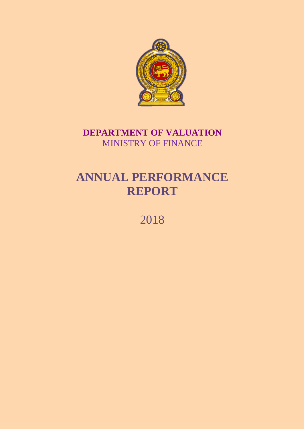

## **DEPARTMENT OF VALUATION** MINISTRY OF FINANCE

# **ANNUAL PERFORMANCE REPORT**

2018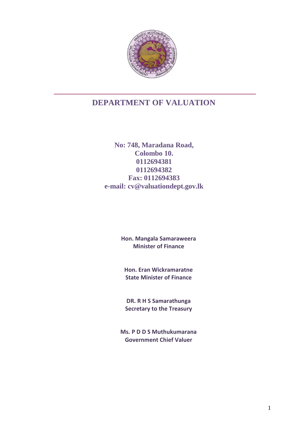

## **DEPARTMENT OF VALUATION**

**No: 748, Maradana Road, Colombo 10. 0112694381 0112694382 Fax: 0112694383 e-mail: cv@valuationdept.gov.lk**

> **Hon. Mangala Samaraweera Minister of Finance**

**Hon. Eran Wickramaratne State Minister of Finance**

**DR. R H S Samarathunga Secretary to the Treasury**

**Ms. P D D S Muthukumarana Government Chief Valuer**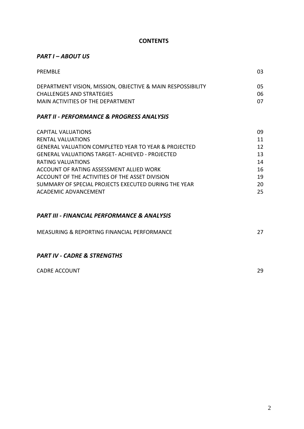#### **CONTENTS**

### *PART I – ABOUT US*

| PRFMBLF                                                                                                                              | 03             |
|--------------------------------------------------------------------------------------------------------------------------------------|----------------|
| DEPARTMENT VISION, MISSION, OBJECTIVE & MAIN RESPOSSIBILITY<br><b>CHALLENGES AND STRATEGIES</b><br>MAIN ACTIVITIES OF THE DEPARTMENT | 05<br>06<br>07 |
| <b>PART II - PERFORMANCE &amp; PROGRESS ANALYSIS</b>                                                                                 |                |
| <b>CAPITAL VALUATIONS</b>                                                                                                            | 09             |
| RENTAL VALUATIONS                                                                                                                    | 11             |
| <b>GENERAL VALUATION COMPLETED YEAR TO YEAR &amp; PROJECTED</b>                                                                      | 12             |
| <b>GENERAL VALUATIONS TARGET- ACHIEVED - PROJECTED</b>                                                                               | 13             |
| <b>DATING VALLIATIONS</b>                                                                                                            | 11             |

| RATING VALUATIONS                                    | 14 |
|------------------------------------------------------|----|
| ACCOUNT OF RATING ASSESSMENT ALLIED WORK             | 16 |
| ACCOUNT OF THE ACTIVITIES OF THE ASSET DIVISION      | 19 |
| SUMMARY OF SPECIAL PROJECTS EXECUTED DURING THE YEAR | 20 |
| ACADEMIC ADVANCEMENT                                 | 25 |

### *PART III - FINANCIAL PERFORMANCE & ANALYSIS*

| MEASURING & REPORTING FINANCIAL PERFORMANCE |  |
|---------------------------------------------|--|
|                                             |  |

### *PART IV - CADRE & STRENGTHS*

| <b>CADRE ACCOUNT</b> |  |
|----------------------|--|
|----------------------|--|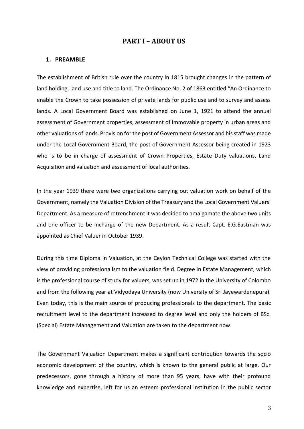#### **PART I – ABOUT US**

#### **1. PREAMBLE**

The establishment of British rule over the country in 1815 brought changes in the pattern of land holding, land use and title to land. The Ordinance No. 2 of 1863 entitled "An Ordinance to enable the Crown to take possession of private lands for public use and to survey and assess lands. A Local Government Board was established on June 1, 1921 to attend the annual assessment of Government properties, assessment of immovable property in urban areas and other valuations of lands. Provision for the post of Government Assessor and his staff was made under the Local Government Board, the post of Government Assessor being created in 1923 who is to be in charge of assessment of Crown Properties, Estate Duty valuations, Land Acquisition and valuation and assessment of local authorities.

In the year 1939 there were two organizations carrying out valuation work on behalf of the Government, namely the Valuation Division of the Treasury and the Local Government Valuers' Department. As a measure of retrenchment it was decided to amalgamate the above two units and one officer to be incharge of the new Department. As a result Capt. E.G.Eastman was appointed as Chief Valuer in October 1939.

During this time Diploma in Valuation, at the Ceylon Technical College was started with the view of providing professionalism to the valuation field. Degree in Estate Management, which is the professional course of study for valuers, was set up in 1972 in the University of Colombo and from the following year at Vidyodaya University (now University of Sri Jayewardenepura). Even today, this is the main source of producing professionals to the department. The basic recruitment level to the department increased to degree level and only the holders of BSc. (Special) Estate Management and Valuation are taken to the department now.

The Government Valuation Department makes a significant contribution towards the socio economic development of the country, which is known to the general public at large. Our predecessors, gone through a history of more than 95 years, have with their profound knowledge and expertise, left for us an esteem professional institution in the public sector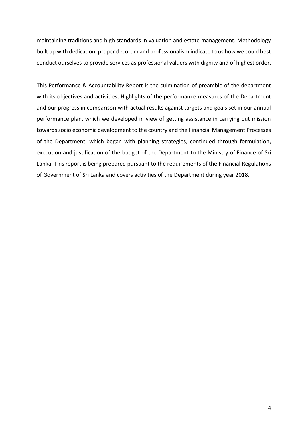maintaining traditions and high standards in valuation and estate management. Methodology built up with dedication, proper decorum and professionalism indicate to us how we could best conduct ourselves to provide services as professional valuers with dignity and of highest order.

This Performance & Accountability Report is the culmination of preamble of the department with its objectives and activities, Highlights of the performance measures of the Department and our progress in comparison with actual results against targets and goals set in our annual performance plan, which we developed in view of getting assistance in carrying out mission towards socio economic development to the country and the Financial Management Processes of the Department, which began with planning strategies, continued through formulation, execution and justification of the budget of the Department to the Ministry of Finance of Sri Lanka. This report is being prepared pursuant to the requirements of the Financial Regulations of Government of Sri Lanka and covers activities of the Department during year 2018.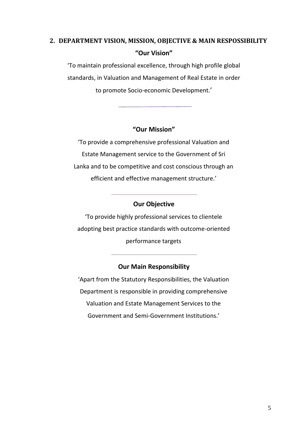## **2. DEPARTMENT VISION, MISSION, OBJECTIVE & MAIN RESPOSSIBILITY "Our Vision"**

'To maintain professional excellence, through high profile global standards, in Valuation and Management of Real Estate in order to promote Socio-economic Development.'

## **"Our Mission"**

'To provide a comprehensive professional Valuation and Estate Management service to the Government of Sri Lanka and to be competitive and cost conscious through an efficient and effective management structure.'

## **Our Objective**

'To provide highly professional services to clientele adopting best practice standards with outcome-oriented performance targets

## **Our Main Responsibility**

'Apart from the Statutory Responsibilities, the Valuation Department is responsible in providing comprehensive Valuation and Estate Management Services to the Government and Semi-Government Institutions.'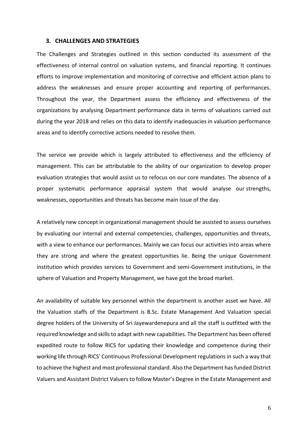#### **3. CHALLENGES AND STRATEGIES**

The Challenges and Strategies outlined in this section conducted its assessment of the effectiveness of internal control on valuation systems, and financial reporting. It continues efforts to improve implementation and monitoring of corrective and efficient action plans to address the weaknesses and ensure proper accounting and reporting of performances. Throughout the year, the Department assess the efficiency and effectiveness of the organizations by analysing Department performance data in terms of valuations carried out during the year 2018 and relies on this data to identify inadequacies in valuation performance areas and to identify corrective actions needed to resolve them.

The service we provide which is largely attributed to effectiveness and the efficiency of management. This can be attributable to the ability of our organization to develop proper evaluation strategies that would assist us to refocus on our core mandates. The absence of a proper systematic performance appraisal system that would analyse our strengths, weaknesses, opportunities and threats has become main issue of the day.

A relatively new concept in organizational management should be assisted to assess ourselves by evaluating our internal and external competencies, challenges, opportunities and threats, with a view to enhance our performances. Mainly we can focus our activities into areas where they are strong and where the greatest opportunities lie. Being the unique Government institution which provides services to Government and semi-Government institutions, in the sphere of Valuation and Property Management, we have got the broad market.

An availability of suitable key personnel within the department is another asset we have. All the Valuation staffs of the Department is B.Sc. Estate Management And Valuation special degree holders of the University of Sri Jayewardenepura and all the staff is outfitted with the required knowledge and skills to adapt with new capabilities. The Department has been offered expedited route to follow RICS for updating their knowledge and competence during their working life through RICS' Continuous Professional Development regulations in such a way that to achieve the highest and most professional standard. Also the Department has funded District Valuers and Assistant District Valuers to follow Master's Degree in the Estate Management and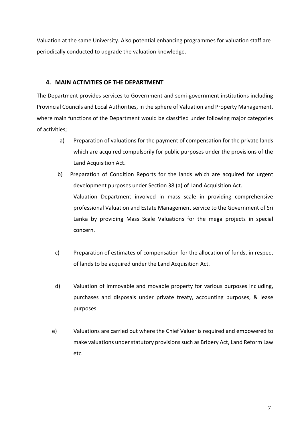Valuation at the same University. Also potential enhancing programmes for valuation staff are periodically conducted to upgrade the valuation knowledge.

#### **4. MAIN ACTIVITIES OF THE DEPARTMENT**

The Department provides services to Government and semi-government institutions including Provincial Councils and Local Authorities, in the sphere of Valuation and Property Management, where main functions of the Department would be classified under following major categories of activities;

- a) Preparation of valuations for the payment of compensation for the private lands which are acquired compulsorily for public purposes under the provisions of the Land Acquisition Act.
- b) Preparation of Condition Reports for the lands which are acquired for urgent development purposes under Section 38 (a) of Land Acquisition Act. Valuation Department involved in mass scale in providing comprehensive professional Valuation and Estate Management service to the Government of Sri Lanka by providing Mass Scale Valuations for the mega projects in special concern.
- c) Preparation of estimates of compensation for the allocation of funds, in respect of lands to be acquired under the Land Acquisition Act.
- d) Valuation of immovable and movable property for various purposes including, purchases and disposals under private treaty, accounting purposes, & lease purposes.
- e) Valuations are carried out where the Chief Valuer is required and empowered to make valuations under statutory provisions such as Bribery Act, Land Reform Law etc.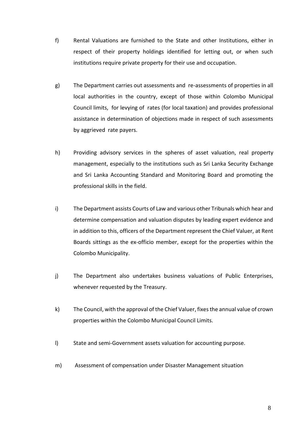- f) Rental Valuations are furnished to the State and other Institutions, either in respect of their property holdings identified for letting out, or when such institutions require private property for their use and occupation.
- g) The Department carries out assessments and re-assessments of properties in all local authorities in the country, except of those within Colombo Municipal Council limits, for levying of rates (for local taxation) and provides professional assistance in determination of objections made in respect of such assessments by aggrieved rate payers.
- h) Providing advisory services in the spheres of asset valuation, real property management, especially to the institutions such as Sri Lanka Security Exchange and Sri Lanka Accounting Standard and Monitoring Board and promoting the professional skills in the field.
- i) The Department assists Courts of Law and various other Tribunals which hear and determine compensation and valuation disputes by leading expert evidence and in addition to this, officers of the Department represent the Chief Valuer, at Rent Boards sittings as the ex-officio member, except for the properties within the Colombo Municipality.
- j) The Department also undertakes business valuations of Public Enterprises, whenever requested by the Treasury.
- k) The Council, with the approval of the Chief Valuer, fixes the annual value of crown properties within the Colombo Municipal Council Limits.
- l) State and semi-Government assets valuation for accounting purpose.
- m) Assessment of compensation under Disaster Management situation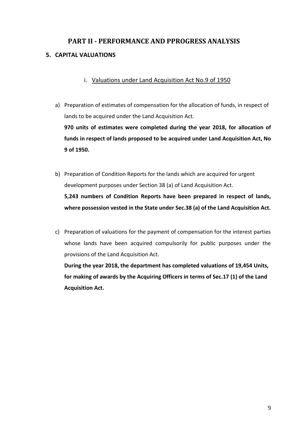## **PART II - PERFORMANCE AND PPROGRESS ANALYSIS 5. CAPITAL VALUATIONS**

## i. Valuations under Land Acquisition Act No.9 of 1950

a) Preparation of estimates of compensation for the allocation of funds, in respect of lands to be acquired under the Land Acquisition Act.

**970 units of estimates were completed during the year 2018, for allocation of funds in respect of lands proposed to be acquired under Land Acquisition Act, No 9 of 1950.**

b) Preparation of Condition Reports for the lands which are acquired for urgent development purposes under Section 38 (a) of Land Acquisition Act.

**5,243 numbers of Condition Reports have been prepared in respect of lands, where possession vested in the State under Sec.38 (a) of the Land Acquisition Act.**

c) Preparation of valuations for the payment of compensation for the interest parties whose lands have been acquired compulsorily for public purposes under the provisions of the Land Acquisition Act.

**During the year 2018, the department has completed valuations of 19,454 Units, for making of awards by the Acquiring Officers in terms of Sec.17 (1) of the Land Acquisition Act.**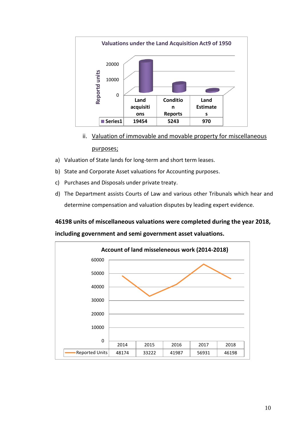

- ii. Valuation of immovable and movable property for miscellaneous purposes;
- a) Valuation of State lands for long-term and short term leases.
- b) State and Corporate Asset valuations for Accounting purposes.
- c) Purchases and Disposals under private treaty.
- d) The Department assists Courts of Law and various other Tribunals which hear and determine compensation and valuation disputes by leading expert evidence.

### **46198 units of miscellaneous valuations were completed during the year 2018,**

**including government and semi government asset valuations.**

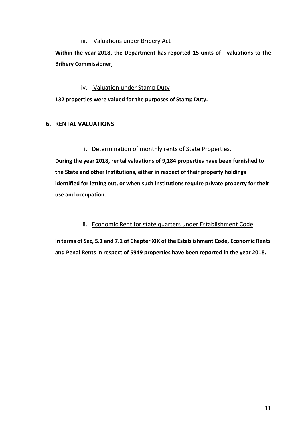#### iii. Valuations under Bribery Act

**Within the year 2018, the Department has reported 15 units of valuations to the Bribery Commissioner,** 

#### iv. Valuation under Stamp Duty

**132 properties were valued for the purposes of Stamp Duty.**

#### **6. RENTAL VALUATIONS**

#### i. Determination of monthly rents of State Properties.

**During the year 2018, rental valuations of 9,184 properties have been furnished to the State and other Institutions, either in respect of their property holdings identified for letting out, or when such institutions require private property for their use and occupation**.

#### ii. Economic Rent for state quarters under Establishment Code

**In terms of Sec, 5.1 and 7.1 of Chapter XIX of the Establishment Code, Economic Rents and Penal Rents in respect of 5949 properties have been reported in the year 2018.**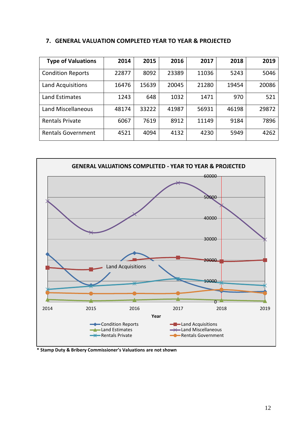#### **7. GENERAL VALUATION COMPLETED YEAR TO YEAR & PROJECTED**

| <b>Type of Valuations</b> | 2014  | 2015  | 2016  | 2017  | 2018  | 2019  |
|---------------------------|-------|-------|-------|-------|-------|-------|
| <b>Condition Reports</b>  | 22877 | 8092  | 23389 | 11036 | 5243  | 5046  |
| Land Acquisitions         | 16476 | 15639 | 20045 | 21280 | 19454 | 20086 |
| Land Estimates            | 1243  | 648   | 1032  | 1471  | 970   | 521   |
| Land Miscellaneous        | 48174 | 33222 | 41987 | 56931 | 46198 | 29872 |
| <b>Rentals Private</b>    | 6067  | 7619  | 8912  | 11149 | 9184  | 7896  |
| <b>Rentals Government</b> | 4521  | 4094  | 4132  | 4230  | 5949  | 4262  |



**\* Stamp Duty & Bribery Commissioner's Valuations are not shown**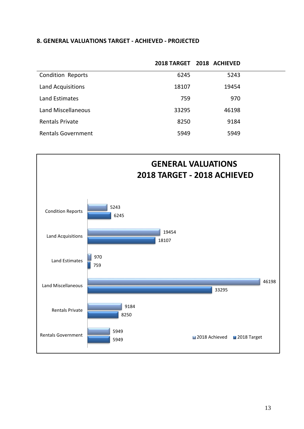#### **8. GENERAL VALUATIONS TARGET - ACHIEVED - PROJECTED**

|                           |       | 2018 TARGET 2018 ACHIEVED |  |
|---------------------------|-------|---------------------------|--|
| <b>Condition Reports</b>  | 6245  | 5243                      |  |
| Land Acquisitions         | 18107 | 19454                     |  |
| Land Estimates            | 759   | 970                       |  |
| Land Miscellaneous        | 33295 | 46198                     |  |
| <b>Rentals Private</b>    | 8250  | 9184                      |  |
| <b>Rentals Government</b> | 5949  | 5949                      |  |

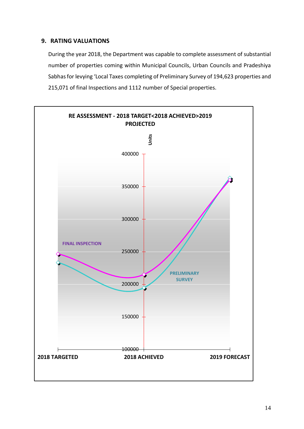### **9. RATING VALUATIONS**

 During the year 2018, the Department was capable to complete assessment of substantial number of properties coming within Municipal Councils, Urban Councils and Pradeshiya Sabhas for levying 'Local Taxes completing of Preliminary Survey of 194,623 properties and 215,071 of final Inspections and 1112 number of Special properties.

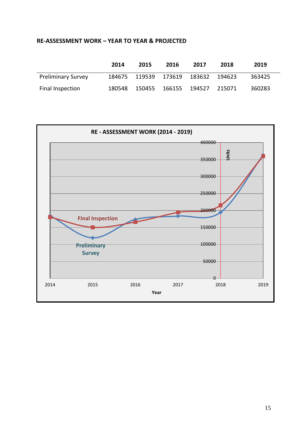#### **RE-ASSESSMENT WORK – YEAR TO YEAR & PROJECTED**

|                           | 2014   | 2015   | 2016                        | 2017   | 2018     | 2019   |
|---------------------------|--------|--------|-----------------------------|--------|----------|--------|
| <b>Preliminary Survey</b> |        |        | 184675 119539 173619 183632 |        | - 194623 | 363425 |
| Final Inspection          | 180548 | 150455 | 166155                      | 194527 | 215071   | 360283 |

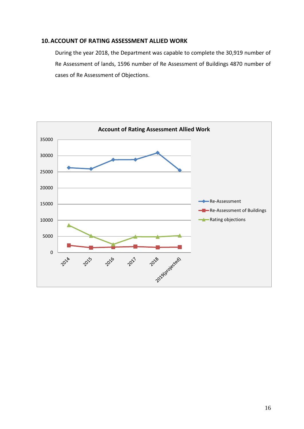#### **10.ACCOUNT OF RATING ASSESSMENT ALLIED WORK**

During the year 2018, the Department was capable to complete the 30,919 number of Re Assessment of lands, 1596 number of Re Assessment of Buildings 4870 number of cases of Re Assessment of Objections.

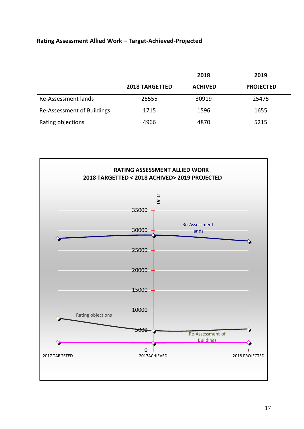## **Rating Assessment Allied Work – Target-Achieved-Projected**

|                            |                       | 2018           | 2019             |
|----------------------------|-----------------------|----------------|------------------|
|                            | <b>2018 TARGETTED</b> | <b>ACHIVED</b> | <b>PROJECTED</b> |
| Re-Assessment lands        | 25555                 | 30919          | 25475            |
| Re-Assessment of Buildings | 1715                  | 1596           | 1655             |
| Rating objections          | 4966                  | 4870           | 5215             |

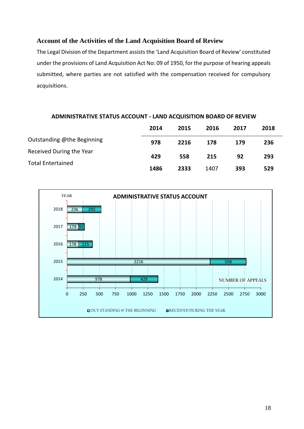## **Account of the Activities of the Land Acquisition Board of Review**

The Legal Division of the Department assists the 'Land Acquisition Board of Review' constituted under the provisions of Land Acquisition Act No: 09 of 1950, for the purpose of hearing appeals submitted, where parties are not satisfied with the compensation received for compulsory acquisitions.

#### **ADMINISTRATIVE STATUS ACCOUNT - LAND ACQUISITION BOARD OF REVIEW**

|                            | 2014 | 2015 | 2016 | 2017 | 2018 |
|----------------------------|------|------|------|------|------|
| Outstanding @the Beginning | 978  | 2216 | 178  | 179  | 236  |
| Received During the Year   | 429  | 558  | 215  | 92   | 293  |
| <b>Total Entertained</b>   | 1486 | 2333 | 1407 | 393  | 529  |

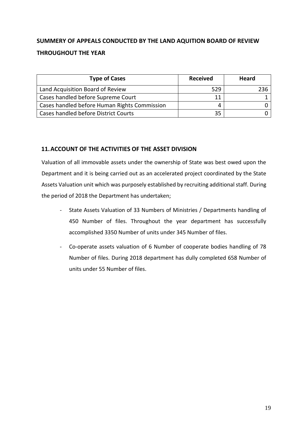## **SUMMERY OF APPEALS CONDUCTED BY THE LAND AQUITION BOARD OF REVIEW THROUGHOUT THE YEAR**

| <b>Type of Cases</b>                         | <b>Received</b> | Heard |
|----------------------------------------------|-----------------|-------|
| Land Acquisition Board of Review             | 529             | 236   |
| Cases handled before Supreme Court           | 11              |       |
| Cases handled before Human Rights Commission | 4               |       |
| Cases handled before District Courts         | 35              |       |

### **11.ACCOUNT OF THE ACTIVITIES OF THE ASSET DIVISION**

Valuation of all immovable assets under the ownership of State was best owed upon the Department and it is being carried out as an accelerated project coordinated by the State Assets Valuation unit which was purposely established by recruiting additional staff. During the period of 2018 the Department has undertaken;

- State Assets Valuation of 33 Numbers of Ministries / Departments handling of 450 Number of files. Throughout the year department has successfully accomplished 3350 Number of units under 345 Number of files.
- Co-operate assets valuation of 6 Number of cooperate bodies handling of 78 Number of files. During 2018 department has dully completed 658 Number of units under 55 Number of files.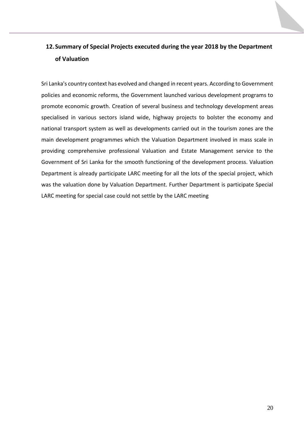## **12.Summary of Special Projects executed during the year 2018 by the Department of Valuation**

Sri Lanka's country context has evolved and changed in recent years. According to Government policies and economic reforms, the Government launched various development programs to promote economic growth. Creation of several business and technology development areas specialised in various sectors island wide, highway projects to bolster the economy and national [transport system](https://en.wikipedia.org/wiki/Transport_network) as well as developments carried out in the tourism zones are the main development programmes which the Valuation Department involved in mass scale in providing comprehensive professional Valuation and Estate Management service to the Government of Sri Lanka for the smooth functioning of the development process. Valuation Department is already participate LARC meeting for all the lots of the special project, which was the valuation done by Valuation Department. Further Department is participate Special LARC meeting for special case could not settle by the LARC meeting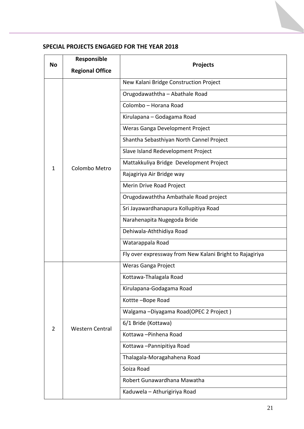| <b>No</b>      | Responsible            |                                                          |
|----------------|------------------------|----------------------------------------------------------|
|                | <b>Regional Office</b> | <b>Projects</b>                                          |
|                |                        | New Kalani Bridge Construction Project                   |
|                |                        | Orugodawaththa - Abathale Road                           |
|                |                        | Colombo - Horana Road                                    |
|                |                        | Kirulapana - Godagama Road                               |
|                |                        | Weras Ganga Development Project                          |
|                |                        | Shantha Sebasthiyan North Cannel Project                 |
|                |                        | Slave Island Redevelopment Project                       |
| 1              | Colombo Metro          | Mattakkuliya Bridge Development Project                  |
|                |                        | Rajagiriya Air Bridge way                                |
|                |                        | Merin Drive Road Project                                 |
|                |                        | Orugodawaththa Ambathale Road project                    |
|                |                        | Sri Jayawardhanapura Kollupitiya Road                    |
|                |                        | Narahenapita Nugegoda Bride                              |
|                |                        | Dehiwala-Aththidiya Road                                 |
|                |                        | Watarappala Road                                         |
|                |                        | Fly over expressway from New Kalani Bright to Rajagiriya |
|                |                        | Weras Ganga Project                                      |
|                |                        | Kottawa-Thalagala Road                                   |
|                |                        | Kirulapana-Godagama Road                                 |
|                |                        | Kottte-Bope Road                                         |
|                |                        | Walgama - Diyagama Road (OPEC 2 Project)                 |
| $\overline{2}$ | <b>Western Central</b> | 6/1 Bride (Kottawa)                                      |
|                |                        | Kottawa - Pinhena Road                                   |
|                |                        | Kottawa-Pannipitiya Road                                 |
|                |                        | Thalagala-Moragahahena Road                              |
|                |                        | Soiza Road                                               |
|                |                        | Robert Gunawardhana Mawatha                              |
|                |                        | Kaduwela - Athurigiriya Road                             |
|                |                        |                                                          |

## **SPECIAL PROJECTS ENGAGED FOR THE YEAR 2018**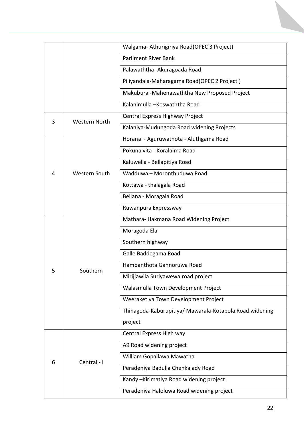|   |                      | Walgama-Athurigiriya Road (OPEC 3 Project)              |
|---|----------------------|---------------------------------------------------------|
|   |                      | <b>Parliment River Bank</b>                             |
|   |                      | Palawaththa- Akuragoada Road                            |
|   |                      | Piliyandala-Maharagama Road(OPEC 2 Project)             |
|   |                      | Makubura - Mahenawaththa New Proposed Project           |
|   |                      | Kalanimulla -Koswaththa Road                            |
| 3 | <b>Western North</b> | Central Express Highway Project                         |
|   |                      | Kalaniya-Mudungoda Road widening Projects               |
|   |                      | Horana - Aguruwathota - Aluthgama Road                  |
|   |                      | Pokuna vita - Koralaima Road                            |
|   |                      | Kaluwella - Bellapitiya Road                            |
| 4 | <b>Western South</b> | Wadduwa - Moronthuduwa Road                             |
|   |                      | Kottawa - thalagala Road                                |
|   |                      | Bellana - Moragala Road                                 |
|   |                      | Ruwanpura Expressway                                    |
|   |                      | Mathara-Hakmana Road Widening Project                   |
|   |                      | Moragoda Ela                                            |
|   |                      | Southern highway                                        |
|   |                      | Galle Baddegama Road                                    |
|   | Southern             | Hambanthota Gannoruwa Road                              |
| 5 |                      | Mirijjawila Suriyawewa road project                     |
|   |                      | Walasmulla Town Development Project                     |
|   |                      | Weeraketiya Town Development Project                    |
|   |                      | Thihagoda-Kaburupitiya/ Mawarala-Kotapola Road widening |
|   |                      | project                                                 |
|   |                      | Central Express High way                                |
|   |                      | A9 Road widening project                                |
| 6 | Central - I          | William Gopallawa Mawatha                               |
|   |                      | Peradeniya Badulla Chenkalady Road                      |
|   |                      | Kandy-Kirimatiya Road widening project                  |
|   |                      | Peradeniya Haloluwa Road widening project               |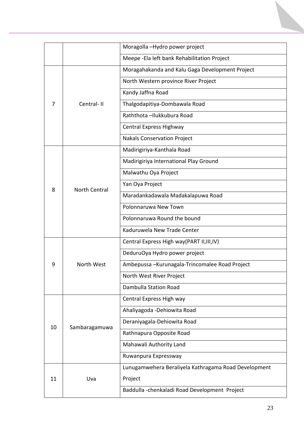|    | Moragolla -Hydro power project |                                                      |  |  |
|----|--------------------------------|------------------------------------------------------|--|--|
|    |                                | Meepe - Ela left bank Rehabilitation Project         |  |  |
| 7  |                                | Moragahakanda and Kalu Gaga Development Project      |  |  |
|    |                                | North Western province River Project                 |  |  |
|    | Central-II                     | Kandy Jaffna Road                                    |  |  |
|    |                                | Thalgodapitiya-Dombawala Road                        |  |  |
|    |                                | Raththota - Ilukkubura Road                          |  |  |
|    |                                | Central Express Highway                              |  |  |
|    |                                | <b>Nakals Conservation Project</b>                   |  |  |
|    | <b>North Central</b>           | Madirigiriya-Kanthala Road                           |  |  |
|    |                                | Madirigiriya International Play Ground               |  |  |
|    |                                | Malwathu Oya Project                                 |  |  |
| 8  |                                | Yan Oya Project                                      |  |  |
|    |                                | Maradankadawala Madakalapuwa Road                    |  |  |
|    |                                | Polonnaruwa New Town                                 |  |  |
|    |                                | Polonnaruwa Round the bound                          |  |  |
|    |                                | Kaduruwela New Trade Center                          |  |  |
|    | North West                     | Central Express High way(PART II, III, IV)           |  |  |
|    |                                | DeduruOya Hydro power project                        |  |  |
| 9  |                                | Ambepussa - Kurunagala-Trincomalee Road Project      |  |  |
|    |                                | North West River Project                             |  |  |
|    |                                | Dambulla Station Road                                |  |  |
|    | Sambaragamuwa                  | Central Express High way                             |  |  |
| 10 |                                | Ahaliyagoda - Dehiowita Road                         |  |  |
|    |                                | Deraniyagala-Dehiowita Road                          |  |  |
|    |                                | Rathnapura Opposite Road                             |  |  |
|    |                                | Mahawali Authority Land                              |  |  |
|    |                                | Ruwanpura Expressway                                 |  |  |
|    | Uva                            | Lunugamwehera Beraliyela Kathragama Road Development |  |  |
| 11 |                                | Project                                              |  |  |
|    |                                | Baddulla - chenkaladi Road Development Project       |  |  |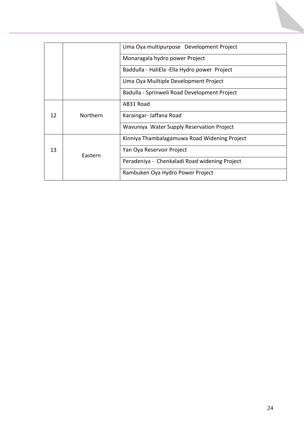|    |          | Uma Oya multipurpose Development Project      |
|----|----------|-----------------------------------------------|
|    |          |                                               |
|    |          | Monaragala hydro power Project                |
|    |          | Baddulla - HaliEla - Ella Hydro power Project |
|    |          | Uma Oya Muiltiple Development Project         |
|    |          | Badulla - Sprinweli Road Development Project  |
| 12 | Northern | AB31 Road                                     |
|    |          | Karaingar-Jaffana Road                        |
|    |          | Wavuniya Water Supply Reservation Project     |
| 13 | Eastern  | Kinniya Thambalagamuwa Road Widening Project  |
|    |          | Yan Oya Reservoir Project                     |
|    |          | Peradeniya - Chenkaladi Road widening Project |
|    |          | Rambuken Oya Hydro Power Project              |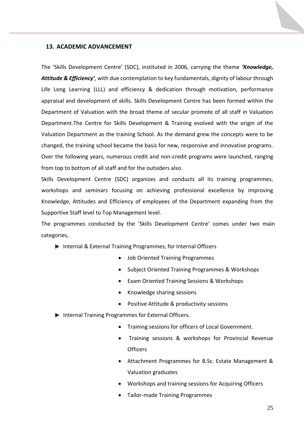#### **13. ACADEMIC ADVANCEMENT**

The 'Skills Development Centre' (SDC), instituted in 2006, carrying the theme *'Knowledge, Attitude & Efficiency',* with due contemplation to key fundamentals, dignity of labour through Life Long Learning (LLL) and efficiency & dedication through motivation, performance appraisal and development of skills. Skills Development Centre has been formed within the Department of Valuation with the broad theme of secular promote of all staff in Valuation Department.The Centre for Skills Development & Training evolved with the origin of the Valuation Department as the training School. As the demand grew the concepts were to be changed, the training school became the basis for new, responsive and innovative programs. Over the following years, numerous credit and non-credit programs were launched, ranging from top to bottom of all staff and for the outsiders also.

Skills Development Centre (SDC) organizes and conducts all its training programmes, workshops and seminars focusing on achieving professional excellence by improving Knowledge, Attitudes and Efficiency of employees of the Department expanding from the Supportive Staff level to Top Management level.

The programmes conducted by the 'Skills Development Centre' comes under two main categories,

- ▶ Internal & External Training Programmes, for Internal Officers
	- Job Oriented Training Programmes
	- Subject Oriented Training Programmes & Workshops
	- Exam Oriented Training Sessions & Workshops
	- Knowledge sharing sessions
	- Positive Attitude & productivity sessions
- ▶ Internal Training Programmes for External Officers.
	- Training sessions for officers of Local Government.
	- Training sessions & workshops for Provincial Revenue **Officers**
	- Attachment Programmes for B.Sc. Estate Management & Valuation graduates
	- Workshops and training sessions for Acquiring Officers
	- Tailor-made Training Programmes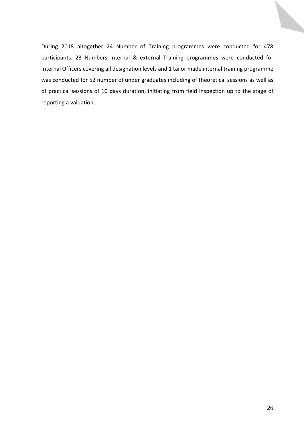During 2018 altogether 24 Number of Training programmes were conducted for 478 participants. 23 Numbers Internal & external Training programmes were conducted for Internal Officers covering all designation levels and 1 tailor made internal training programme was conducted for 52 number of under graduates including of theoretical sessions as well as of practical sessions of 10 days duration, initiating from field inspection up to the stage of reporting a valuation.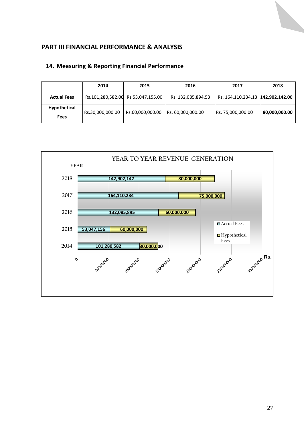## **PART III FINANCIAL PERFORMANCE & ANALYSIS**

## **14. Measuring & Reporting Financial Performance**

|                             | 2014             | 2015                               | 2016               | 2017                              | 2018          |
|-----------------------------|------------------|------------------------------------|--------------------|-----------------------------------|---------------|
| <b>Actual Fees</b>          |                  | Rs.101,280,582.00 Rs.53,047,155.00 | Rs. 132,085,894.53 | Rs. 164,110,234.13 142,902,142.00 |               |
| Hypothetical<br><b>Fees</b> | Rs.30,000,000.00 | Rs.60,000,000.00                   | Rs. 60,000,000.00  | Rs. 75,000,000.00                 | 80,000,000.00 |

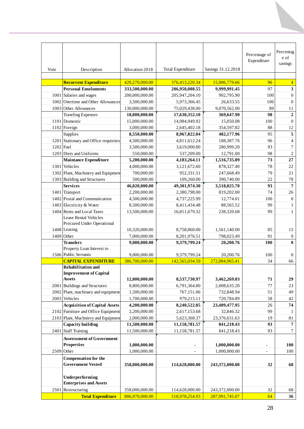| Vote        | Description                                         | Allocation 2018 | <b>Total Expenditure</b> | Savings 31.12.2018 | Percentage of<br>Expenditure | Percentag<br>e of<br>savings |
|-------------|-----------------------------------------------------|-----------------|--------------------------|--------------------|------------------------------|------------------------------|
|             |                                                     |                 |                          |                    |                              |                              |
|             | <b>Recurrent Expenditure</b>                        | 420,270,000.00  | 376,413,220.34           | 15,906,779.66      | 96                           | $\overline{4}$               |
|             | <b>Personal Emoluments</b>                          | 333,500,000.00  | 286,950,008.55           | 9,999,991.45       | 97                           | $\mathbf{3}$                 |
|             | 1001 Salaries and wages                             | 200,000,000.00  |                          | 902,795.90         | 100                          | $\boldsymbol{0}$             |
|             | 1002 Overtime and Other Allowances                  |                 | 205,947,204.10           |                    |                              |                              |
|             |                                                     | 3,500,000.00    | 5,973,366.45             | 26,633.55          | 100                          | $\boldsymbol{0}$             |
|             | 1003 Other Allowances                               | 130,000,000.00  | 75,029,438.00            | 9,070,562.00       | 89                           | 11                           |
|             | <b>Traveling Expenses</b>                           | 18,000,000.00   | 17,630,352.10            | 369,647.90         | 98                           | $\boldsymbol{2}$             |
|             | 1101 Domestic                                       | 15,000,000.00   | 14,984,949.92            | 15,050.08          | 100                          | $\boldsymbol{0}$             |
|             | 1102 Foreign                                        | 3,000,000.00    | 2,645,402.18             | 354,597.82         | 88                           | 12                           |
|             | Supplies                                            | 8,550,000.00    | 8,967,822.04             | 482,177.96         | 95                           | $\overline{5}$               |
|             | 1201 Stationary and Office requisites               | 4,500,000.00    | 4,811,612.24             | 188,387.76         | 96                           | $\overline{4}$               |
| $1202$ Fuel |                                                     | 3,500,000.00    | 3,619,000.80             | 280,999.20         | 93                           | $\boldsymbol{7}$             |
|             | 1203 Diets and Uniforms                             | 550,000.00      | 537,209.00               | 12,791.00          | 98                           | $\sqrt{2}$                   |
|             | <b>Maintance Expenditure</b>                        | 5,200,000.00    | 4,183,264.11             | 1,516,735.89       | 73                           | $\bf 27$                     |
|             | 1301 Vehicles                                       | 4,000,000.00    | 3,121,672.60             | 878,327.40         | 78                           | $22\,$                       |
|             | 1302 Plant, Machinery and Equipmen                  | 700,000.00      | 952,331.51               | 247,668.49         | 79                           | $21\,$                       |
|             | 1303 Building and Structures                        | 500,000.00      | 109,260.00               | 390,740.00         | 22                           | $78\,$                       |
|             | <b>Services</b>                                     | 46,020,000.00   | 49,301,974.30            | 3,518,025.70       | 93                           | $\overline{7}$               |
|             | 1401 Transport                                      | 2,200,000.00    | 2,380,798.00             | 819,202.00         | 74                           | 26                           |
|             | 1402 Postal and Communication                       | 4,500,000.00    | 4,737,225.99             | 12,774.01          | 100                          | $\boldsymbol{0}$             |
|             | 1403 Electricity & Water                            | 8,500,000.00    | 8,411,434.48             | 88,565.52          | 99                           | $\mathbf{1}$                 |
|             | 1404 Rents and Local Taxes                          | 13,500,000.00   | 16,811,679.32            | 238,320.68         | 99                           | $\mathbf{1}$                 |
|             | Lease Rental Vehicles<br>Procured Under Operational |                 |                          |                    |                              |                              |
|             | 1408 Leasing                                        | 10,320,000.00   | 8,758,860.00             | 1,561,140.00       | 85                           | 15                           |
|             | 1409 Other                                          | 7,000,000.00    | 8,201,976.51             | 798,023.49         | 91                           | $\overline{9}$               |
|             | <b>Transfers</b>                                    | 9,000,000.00    | 9,379,799.24             | 20,200.76          | 100                          | $\bf{0}$                     |
|             | Property Loan Interest to<br>1506 Public Servants   | 9,000,000.00    | 9,379,799.24             | 20,200.76          | 100                          | $\boldsymbol{0}$             |
|             | <b>CAPITAL EXPENDITURE</b>                          | 386,700,000.00  | 142,565,034.59           | 272,084,965.41     | 34                           | 66                           |
|             | <b>Rehabilitation and</b>                           |                 |                          |                    |                              |                              |
|             | <b>Improvement of Capital</b>                       |                 |                          |                    |                              |                              |
|             | <b>Assets</b>                                       | 12,000,000.00   | 8,537,730.97             | 3,462,269.03       | 71                           | 29                           |
|             | 2001 Buildings and Structures                       | 8,800,000.00    | 6,791,364.80             | 2,008,635.20       | 77                           | 23                           |
|             | 2002 Plant, machinary and equipment                 | 1,500,000.00    | 767,151.06               | 732,848.94         | 51                           | 49                           |
|             | 2003 Vehicles                                       | 1,700,000.00    | 979,215.11               | 720,784.89         | 58                           | $42\,$                       |
|             | <b>Acquisition of Capital Assets</b>                | 4,200,000.00    | 8,240,522.05             | 23,409,477.95      | 26                           | 74                           |
|             | 2102 Furniture and Office Equipment                 | 2,200,000.00    | 2,617,153.68             | 32,846.32          | 99                           | -1                           |
|             | 2103 Plant, Machniery and Equipmen                  | 2,000,000.00    | 5,623,368.37             | 23,376,631.63      | 19                           | 81                           |
|             | Capacity building                                   | 11,500,000.00   | 11,158,781.57            | 841,218.43         | 93                           | $7\phantom{.0}$              |
|             | 2401 Staff Training                                 | 11,500,000.00   | 11,158,781.57            | 841,218.43         | 93                           | $\tau$                       |
|             | <b>Asseessment of Government</b>                    |                 |                          |                    |                              |                              |
|             | <b>Properties</b>                                   | 1,000,000.00    |                          | 1,000,000.00       | $\qquad \qquad -$            | 100                          |
|             | 2509 Other                                          | 1,000,000.00    |                          | 1,000,000.00       |                              | 100                          |
|             | <b>Compensation for the</b>                         |                 |                          |                    |                              |                              |
|             | <b>Government Vested</b>                            | 358,000,000.00  | 114,628,000.00           | 243,372,000.00     | 32                           | 68                           |
|             | Underperforming<br><b>Enterprises and Assets</b>    |                 |                          |                    |                              |                              |
|             | 2501 Restructuring                                  | 358,000,000.00  | 114,628,000.00           | 243,372,000.00     | 32                           | 68                           |
|             | <b>Total Expenditure</b>                            | 806,970,000.00  | 518,978,254.93           | 287,991,745.07     | 64                           | 36                           |
|             |                                                     |                 |                          |                    |                              |                              |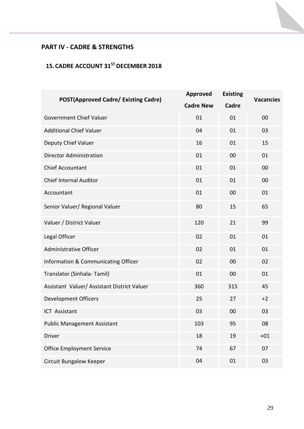## **PART IV - CADRE & STRENGTHS**

## **15.CADRE ACCOUNT 31ST DECEMBER 2018**

| <b>POST(Approved Cadre/ Existing Cadre)</b> | <b>Approved</b>  | <b>Existing</b> | <b>Vacancies</b> |  |
|---------------------------------------------|------------------|-----------------|------------------|--|
|                                             | <b>Cadre New</b> | Cadre           |                  |  |
| <b>Government Chief Valuer</b>              | 01               | 01              | 00               |  |
| <b>Additional Chief Valuer</b>              | 04               | 01              | 03               |  |
| Deputy Chief Valuer                         | 16               | 01              | 15               |  |
| <b>Director Administration</b>              | 01               | 00              | 01               |  |
| <b>Chief Accountant</b>                     | 01               | 01              | 00               |  |
| <b>Chief Internal Auditor</b>               | 01               | 01              | 00               |  |
| Accountant                                  | 01               | 00              | 01               |  |
| Senior Valuer/ Regional Valuer              | 80               | 15              | 65               |  |
| Valuer / District Valuer                    | 120              | 21              | 99               |  |
| Legal Officer                               | 02               | 01              | 01               |  |
| Administrative Officer                      | 02               | 01              | 01               |  |
| Information & Communicating Officer         | 02               | 00              | 02               |  |
| Translator (Sinhala-Tamil)                  | 01               | 00              | 01               |  |
| Assistant Valuer/ Assistant District Valuer | 360              | 315             | 45               |  |
| <b>Development Officers</b>                 | 25               | 27              | $+2$             |  |
| ICT Assistant                               | 03               | 00              | 03               |  |
| <b>Public Management Assistant</b>          | 103              | 95              | 08               |  |
| <b>Driver</b>                               | 18               | 19              | $+01$            |  |
| <b>Office Employment Service</b>            | 74               | 67              | 07               |  |
| <b>Circuit Bungalow Keeper</b>              | 04               | 01              | 03               |  |